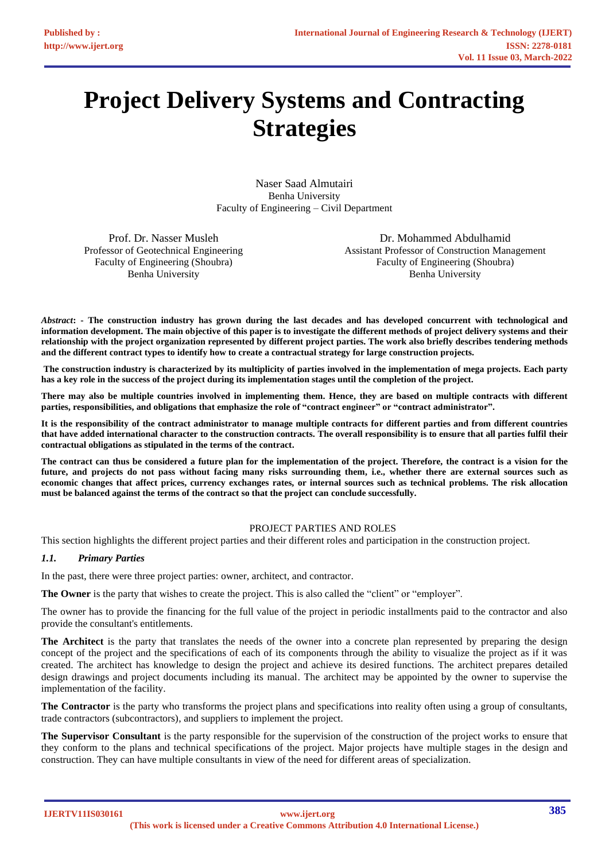# **Project Delivery Systems and Contracting Strategies**

Naser Saad Almutairi Benha University Faculty of Engineering – Civil Department

Prof. Dr. Nasser Musleh Professor of Geotechnical Engineering Faculty of Engineering (Shoubra) Benha University

Dr. Mohammed Abdulhamid Assistant Professor of Construction Management Faculty of Engineering (Shoubra) Benha University

*Abstract***: - The construction industry has grown during the last decades and has developed concurrent with technological and information development. The main objective of this paper is to investigate the different methods of project delivery systems and their relationship with the project organization represented by different project parties. The work also briefly describes tendering methods and the different contract types to identify how to create a contractual strategy for large construction projects.**

**The construction industry is characterized by its multiplicity of parties involved in the implementation of mega projects. Each party has a key role in the success of the project during its implementation stages until the completion of the project.**

**There may also be multiple countries involved in implementing them. Hence, they are based on multiple contracts with different parties, responsibilities, and obligations that emphasize the role of "contract engineer" or "contract administrator".**

**It is the responsibility of the contract administrator to manage multiple contracts for different parties and from different countries that have added international character to the construction contracts. The overall responsibility is to ensure that all parties fulfil their contractual obligations as stipulated in the terms of the contract.**

**The contract can thus be considered a future plan for the implementation of the project. Therefore, the contract is a vision for the future, and projects do not pass without facing many risks surrounding them, i.e., whether there are external sources such as economic changes that affect prices, currency exchanges rates, or internal sources such as technical problems. The risk allocation must be balanced against the terms of the contract so that the project can conclude successfully.**

# PROJECT PARTIES AND ROLES

This section highlights the different project parties and their different roles and participation in the construction project.

# *1.1. Primary Parties*

In the past, there were three project parties: owner, architect, and contractor.

**The Owner** is the party that wishes to create the project. This is also called the "client" or "employer".

The owner has to provide the financing for the full value of the project in periodic installments paid to the contractor and also provide the consultant's entitlements.

**The Architect** is the party that translates the needs of the owner into a concrete plan represented by preparing the design concept of the project and the specifications of each of its components through the ability to visualize the project as if it was created. The architect has knowledge to design the project and achieve its desired functions. The architect prepares detailed design drawings and project documents including its manual. The architect may be appointed by the owner to supervise the implementation of the facility.

**The Contractor** is the party who transforms the project plans and specifications into reality often using a group of consultants, trade contractors (subcontractors), and suppliers to implement the project.

**The Supervisor Consultant** is the party responsible for the supervision of the construction of the project works to ensure that they conform to the plans and technical specifications of the project. Major projects have multiple stages in the design and construction. They can have multiple consultants in view of the need for different areas of specialization.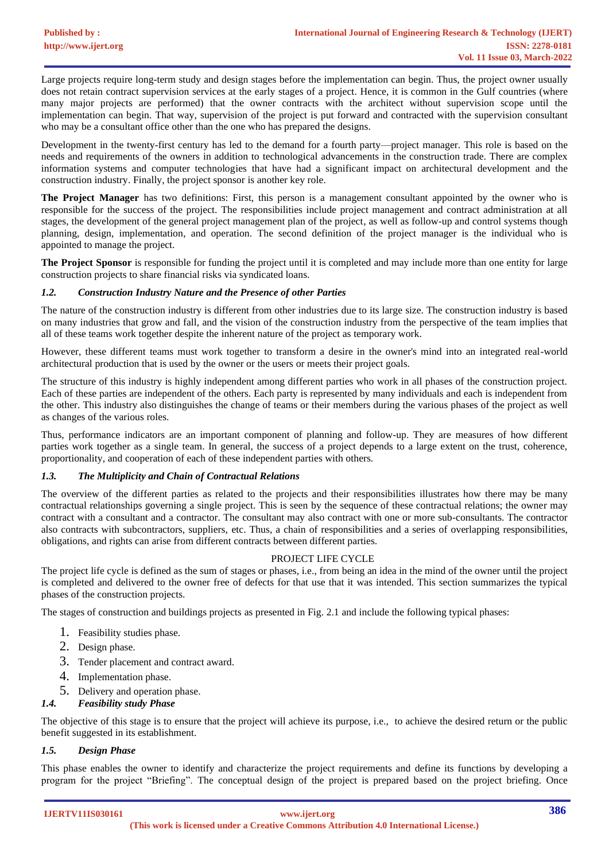Large projects require long-term study and design stages before the implementation can begin. Thus, the project owner usually does not retain contract supervision services at the early stages of a project. Hence, it is common in the Gulf countries (where many major projects are performed) that the owner contracts with the architect without supervision scope until the implementation can begin. That way, supervision of the project is put forward and contracted with the supervision consultant who may be a consultant office other than the one who has prepared the designs.

Development in the twenty-first century has led to the demand for a fourth party—project manager. This role is based on the needs and requirements of the owners in addition to technological advancements in the construction trade. There are complex information systems and computer technologies that have had a significant impact on architectural development and the construction industry. Finally, the project sponsor is another key role.

**The Project Manager** has two definitions: First, this person is a management consultant appointed by the owner who is responsible for the success of the project. The responsibilities include project management and contract administration at all stages, the development of the general project management plan of the project, as well as follow-up and control systems though planning, design, implementation, and operation. The second definition of the project manager is the individual who is appointed to manage the project.

**The Project Sponsor** is responsible for funding the project until it is completed and may include more than one entity for large construction projects to share financial risks via syndicated loans.

# *1.2. Construction Industry Nature and the Presence of other Parties*

The nature of the construction industry is different from other industries due to its large size. The construction industry is based on many industries that grow and fall, and the vision of the construction industry from the perspective of the team implies that all of these teams work together despite the inherent nature of the project as temporary work.

However, these different teams must work together to transform a desire in the owner's mind into an integrated real-world architectural production that is used by the owner or the users or meets their project goals.

The structure of this industry is highly independent among different parties who work in all phases of the construction project. Each of these parties are independent of the others. Each party is represented by many individuals and each is independent from the other. This industry also distinguishes the change of teams or their members during the various phases of the project as well as changes of the various roles.

Thus, performance indicators are an important component of planning and follow-up. They are measures of how different parties work together as a single team. In general, the success of a project depends to a large extent on the trust, coherence, proportionality, and cooperation of each of these independent parties with others.

# *1.3. The Multiplicity and Chain of Contractual Relations*

The overview of the different parties as related to the projects and their responsibilities illustrates how there may be many contractual relationships governing a single project. This is seen by the sequence of these contractual relations; the owner may contract with a consultant and a contractor. The consultant may also contract with one or more sub-consultants. The contractor also contracts with subcontractors, suppliers, etc. Thus, a chain of responsibilities and a series of overlapping responsibilities, obligations, and rights can arise from different contracts between different parties.

# PROJECT LIFE CYCLE

The project life cycle is defined as the sum of stages or phases, i.e., from being an idea in the mind of the owner until the project is completed and delivered to the owner free of defects for that use that it was intended. This section summarizes the typical phases of the construction projects.

The stages of construction and buildings projects as presented in Fig. 2.1 and include the following typical phases:

- 1. Feasibility studies phase.
- 2. Design phase.
- 3. Tender placement and contract award.
- 4. Implementation phase.
- 5. Delivery and operation phase.

# *1.4. Feasibility study Phase*

The objective of this stage is to ensure that the project will achieve its purpose, i.e., to achieve the desired return or the public benefit suggested in its establishment.

# *1.5. Design Phase*

This phase enables the owner to identify and characterize the project requirements and define its functions by developing a program for the project "Briefing". The conceptual design of the project is prepared based on the project briefing. Once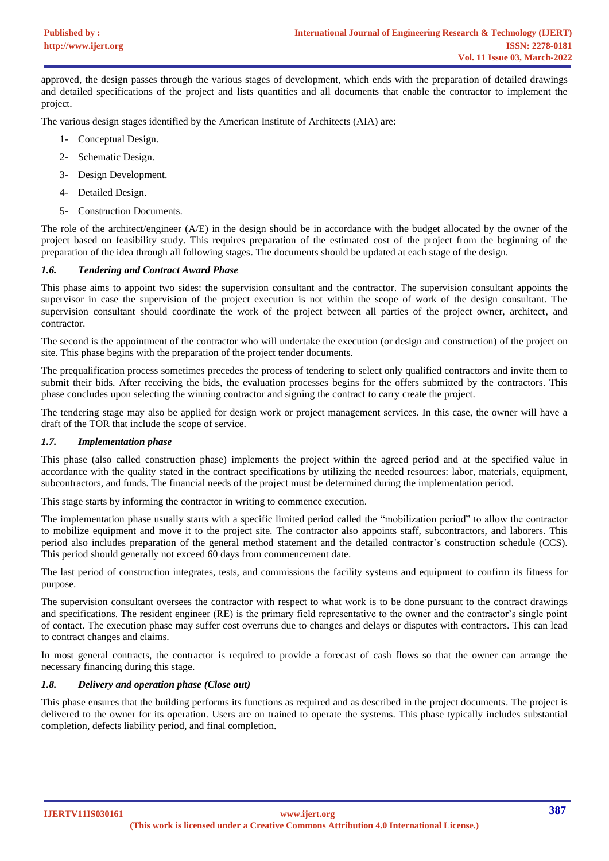approved, the design passes through the various stages of development, which ends with the preparation of detailed drawings and detailed specifications of the project and lists quantities and all documents that enable the contractor to implement the project.

The various design stages identified by the American Institute of Architects (AIA) are:

- 1- Conceptual Design.
- 2- Schematic Design.
- 3- Design Development.
- 4- Detailed Design.
- 5- Construction Documents.

The role of the architect/engineer (A/E) in the design should be in accordance with the budget allocated by the owner of the project based on feasibility study. This requires preparation of the estimated cost of the project from the beginning of the preparation of the idea through all following stages. The documents should be updated at each stage of the design.

# *1.6. Tendering and Contract Award Phase*

This phase aims to appoint two sides: the supervision consultant and the contractor. The supervision consultant appoints the supervisor in case the supervision of the project execution is not within the scope of work of the design consultant. The supervision consultant should coordinate the work of the project between all parties of the project owner, architect, and contractor.

The second is the appointment of the contractor who will undertake the execution (or design and construction) of the project on site. This phase begins with the preparation of the project tender documents.

The prequalification process sometimes precedes the process of tendering to select only qualified contractors and invite them to submit their bids. After receiving the bids, the evaluation processes begins for the offers submitted by the contractors. This phase concludes upon selecting the winning contractor and signing the contract to carry create the project.

The tendering stage may also be applied for design work or project management services. In this case, the owner will have a draft of the TOR that include the scope of service.

# *1.7. Implementation phase*

This phase (also called construction phase) implements the project within the agreed period and at the specified value in accordance with the quality stated in the contract specifications by utilizing the needed resources: labor, materials, equipment, subcontractors, and funds. The financial needs of the project must be determined during the implementation period.

This stage starts by informing the contractor in writing to commence execution.

The implementation phase usually starts with a specific limited period called the "mobilization period" to allow the contractor to mobilize equipment and move it to the project site. The contractor also appoints staff, subcontractors, and laborers. This period also includes preparation of the general method statement and the detailed contractor's construction schedule (CCS). This period should generally not exceed 60 days from commencement date.

The last period of construction integrates, tests, and commissions the facility systems and equipment to confirm its fitness for purpose.

The supervision consultant oversees the contractor with respect to what work is to be done pursuant to the contract drawings and specifications. The resident engineer (RE) is the primary field representative to the owner and the contractor's single point of contact. The execution phase may suffer cost overruns due to changes and delays or disputes with contractors. This can lead to contract changes and claims.

In most general contracts, the contractor is required to provide a forecast of cash flows so that the owner can arrange the necessary financing during this stage.

# *1.8. Delivery and operation phase (Close out)*

This phase ensures that the building performs its functions as required and as described in the project documents. The project is delivered to the owner for its operation. Users are on trained to operate the systems. This phase typically includes substantial completion, defects liability period, and final completion.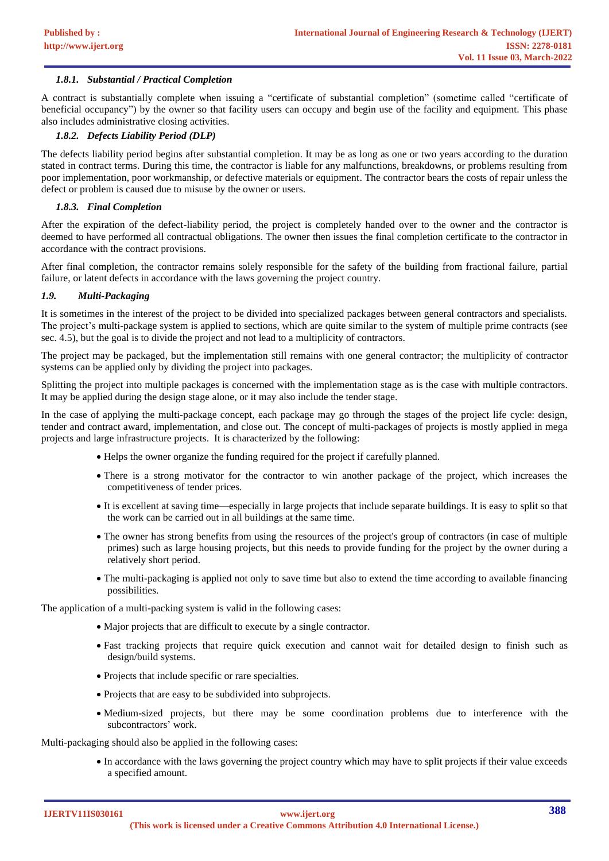# *1.8.1. Substantial / Practical Completion*

A contract is substantially complete when issuing a "certificate of substantial completion" (sometime called "certificate of beneficial occupancy") by the owner so that facility users can occupy and begin use of the facility and equipment. This phase also includes administrative closing activities.

# *1.8.2. Defects Liability Period (DLP)*

The defects liability period begins after substantial completion. It may be as long as one or two years according to the duration stated in contract terms. During this time, the contractor is liable for any malfunctions, breakdowns, or problems resulting from poor implementation, poor workmanship, or defective materials or equipment. The contractor bears the costs of repair unless the defect or problem is caused due to misuse by the owner or users.

# *1.8.3. Final Completion*

After the expiration of the defect-liability period, the project is completely handed over to the owner and the contractor is deemed to have performed all contractual obligations. The owner then issues the final completion certificate to the contractor in accordance with the contract provisions.

After final completion, the contractor remains solely responsible for the safety of the building from fractional failure, partial failure, or latent defects in accordance with the laws governing the project country.

# *1.9. Multi-Packaging*

It is sometimes in the interest of the project to be divided into specialized packages between general contractors and specialists. The project's multi-package system is applied to sections, which are quite similar to the system of multiple prime contracts (see sec. 4.5), but the goal is to divide the project and not lead to a multiplicity of contractors.

The project may be packaged, but the implementation still remains with one general contractor; the multiplicity of contractor systems can be applied only by dividing the project into packages.

Splitting the project into multiple packages is concerned with the implementation stage as is the case with multiple contractors. It may be applied during the design stage alone, or it may also include the tender stage.

In the case of applying the multi-package concept, each package may go through the stages of the project life cycle: design, tender and contract award, implementation, and close out. The concept of multi-packages of projects is mostly applied in mega projects and large infrastructure projects. It is characterized by the following:

- Helps the owner organize the funding required for the project if carefully planned.
- There is a strong motivator for the contractor to win another package of the project, which increases the competitiveness of tender prices.
- It is excellent at saving time—especially in large projects that include separate buildings. It is easy to split so that the work can be carried out in all buildings at the same time.
- The owner has strong benefits from using the resources of the project's group of contractors (in case of multiple primes) such as large housing projects, but this needs to provide funding for the project by the owner during a relatively short period.
- The multi-packaging is applied not only to save time but also to extend the time according to available financing possibilities.

The application of a multi-packing system is valid in the following cases:

- Major projects that are difficult to execute by a single contractor.
- Fast tracking projects that require quick execution and cannot wait for detailed design to finish such as design/build systems.
- Projects that include specific or rare specialties.
- Projects that are easy to be subdivided into subprojects.
- Medium-sized projects, but there may be some coordination problems due to interference with the subcontractors' work.

Multi-packaging should also be applied in the following cases:

• In accordance with the laws governing the project country which may have to split projects if their value exceeds a specified amount.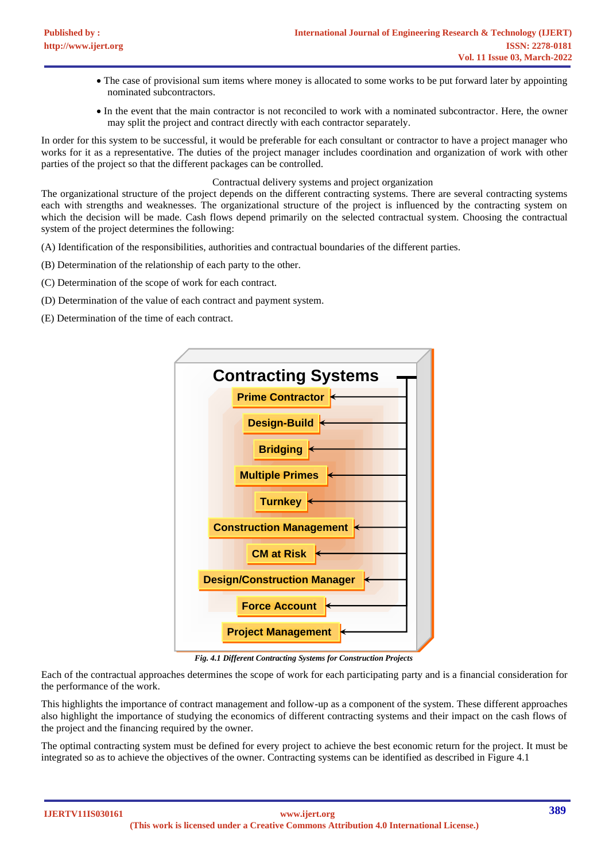- The case of provisional sum items where money is allocated to some works to be put forward later by appointing nominated subcontractors.
- In the event that the main contractor is not reconciled to work with a nominated subcontractor. Here, the owner may split the project and contract directly with each contractor separately.

In order for this system to be successful, it would be preferable for each consultant or contractor to have a project manager who works for it as a representative. The duties of the project manager includes coordination and organization of work with other parties of the project so that the different packages can be controlled.

#### Contractual delivery systems and project organization

The organizational structure of the project depends on the different contracting systems. There are several contracting systems each with strengths and weaknesses. The organizational structure of the project is influenced by the contracting system on which the decision will be made. Cash flows depend primarily on the selected contractual system. Choosing the contractual system of the project determines the following:

- (A) Identification of the responsibilities, authorities and contractual boundaries of the different parties.
- (B) Determination of the relationship of each party to the other.
- (C) Determination of the scope of work for each contract.
- (D) Determination of the value of each contract and payment system.
- (E) Determination of the time of each contract.



*Fig. 4.1 Different Contracting Systems for Construction Projects*

Each of the contractual approaches determines the scope of work for each participating party and is a financial consideration for the performance of the work.

This highlights the importance of contract management and follow-up as a component of the system. These different approaches also highlight the importance of studying the economics of different contracting systems and their impact on the cash flows of the project and the financing required by the owner.

The optimal contracting system must be defined for every project to achieve the best economic return for the project. It must be integrated so as to achieve the objectives of the owner. Contracting systems can be identified as described in Figure 4.1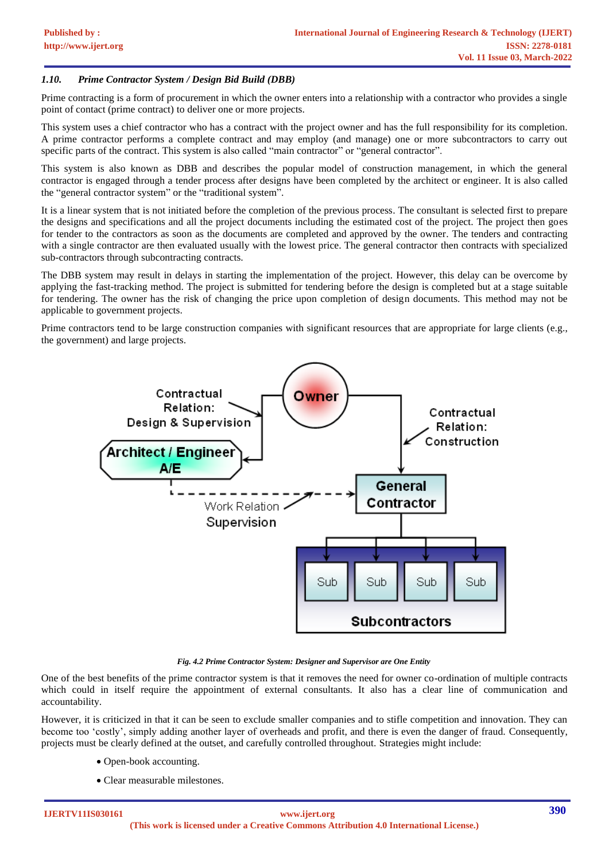# *1.10. Prime Contractor System / Design Bid Build (DBB)*

Prime contracting is a form of procurement in which the owner enters into a relationship with a contractor who provides a single point of contact (prime contract) to deliver one or more projects.

This system uses a chief contractor who has a contract with the project owner and has the full responsibility for its completion. A prime contractor performs a complete contract and may employ (and manage) one or more subcontractors to carry out specific parts of the contract. This system is also called "main contractor" or "general contractor".

This system is also known as DBB and describes the popular model of construction management, in which the general contractor is engaged through a tender process after designs have been completed by the architect or engineer. It is also called the "general contractor system" or the "traditional system".

It is a linear system that is not initiated before the completion of the previous process. The consultant is selected first to prepare the designs and specifications and all the project documents including the estimated cost of the project. The project then goes for tender to the contractors as soon as the documents are completed and approved by the owner. The tenders and contracting with a single contractor are then evaluated usually with the lowest price. The general contractor then contracts with specialized sub-contractors through subcontracting contracts.

The DBB system may result in delays in starting the implementation of the project. However, this delay can be overcome by applying the fast-tracking method. The project is submitted for tendering before the design is completed but at a stage suitable for tendering. The owner has the risk of changing the price upon completion of design documents. This method may not be applicable to government projects.

Prime contractors tend to be large construction companies with significant resources that are appropriate for large clients (e.g., the government) and large projects.



*Fig. 4.2 Prime Contractor System: Designer and Supervisor are One Entity*

One of the best benefits of the prime contractor system is that it removes the need for owner co-ordination of multiple contracts which could in itself require the appointment of external consultants. It also has a clear line of communication and accountability.

However, it is criticized in that it can be seen to exclude smaller companies and to stifle competition and innovation. They can become too 'costly', simply adding another layer of overheads and profit, and there is even the danger of fraud. Consequently, projects must be clearly defined at the outset, and carefully controlled throughout. Strategies might include:

- Open-book accounting.
- Clear measurable milestones.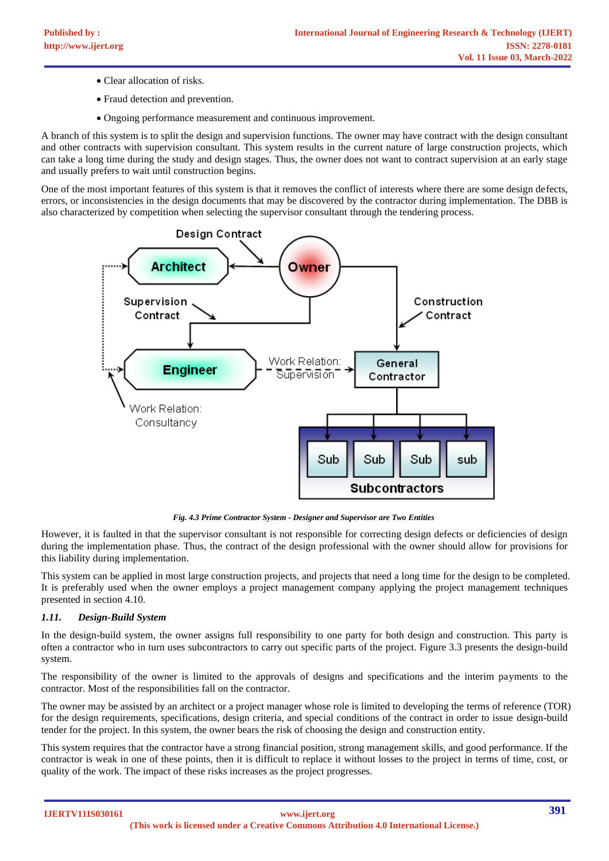- Clear allocation of risks.
- Fraud detection and prevention.
- Ongoing performance measurement and continuous improvement.

A branch of this system is to split the design and supervision functions. The owner may have contract with the design consultant and other contracts with supervision consultant. This system results in the current nature of large construction projects, which can take a long time during the study and design stages. Thus, the owner does not want to contract supervision at an early stage and usually prefers to wait until construction begins.

One of the most important features of this system is that it removes the conflict of interests where there are some design defects, errors, or inconsistencies in the design documents that may be discovered by the contractor during implementation. The DBB is also characterized by competition when selecting the supervisor consultant through the tendering process.



*Fig. 4.3 Prime Contractor System - Designer and Supervisor are Two Entities* 

However, it is faulted in that the supervisor consultant is not responsible for correcting design defects or deficiencies of design during the implementation phase. Thus, the contract of the design professional with the owner should allow for provisions for this liability during implementation.

This system can be applied in most large construction projects, and projects that need a long time for the design to be completed. It is preferably used when the owner employs a project management company applying the project management techniques presented in section 4.10.

# *1.11. Design-Build System*

In the design-build system, the owner assigns full responsibility to one party for both design and construction. This party is often a contractor who in turn uses subcontractors to carry out specific parts of the project. Figure 3.3 presents the design-build system.

The responsibility of the owner is limited to the approvals of designs and specifications and the interim payments to the contractor. Most of the responsibilities fall on the contractor.

The owner may be assisted by an architect or a project manager whose role is limited to developing the terms of reference (TOR) for the design requirements, specifications, design criteria, and special conditions of the contract in order to issue design-build tender for the project. In this system, the owner bears the risk of choosing the design and construction entity.

This system requires that the contractor have a strong financial position, strong management skills, and good performance. If the contractor is weak in one of these points, then it is difficult to replace it without losses to the project in terms of time, cost, or quality of the work. The impact of these risks increases as the project progresses.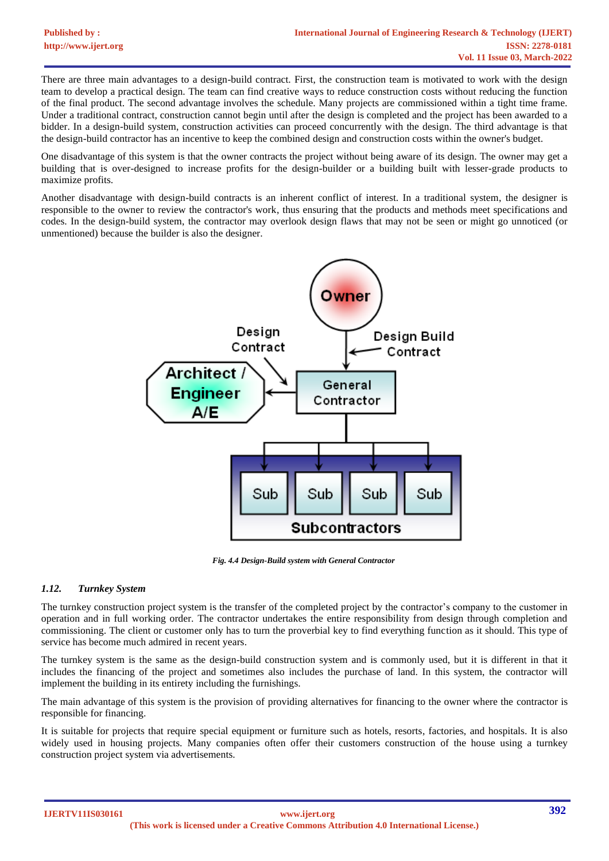There are three main advantages to a design-build contract. First, the construction team is motivated to work with the design team to develop a practical design. The team can find creative ways to reduce construction costs without reducing the function of the final product. The second advantage involves the schedule. Many projects are commissioned within a tight time frame. Under a traditional contract, construction cannot begin until after the design is completed and the project has been awarded to a bidder. In a design-build system, construction activities can proceed concurrently with the design. The third advantage is that the design-build contractor has an incentive to keep the combined design and construction costs within the owner's budget.

One disadvantage of this system is that the owner contracts the project without being aware of its design. The owner may get a building that is over-designed to increase profits for the design-builder or a building built with lesser-grade products to maximize profits.

Another disadvantage with design-build contracts is an inherent conflict of interest. In a traditional system, the designer is responsible to the owner to review the contractor's work, thus ensuring that the products and methods meet specifications and codes. In the design-build system, the contractor may overlook design flaws that may not be seen or might go unnoticed (or unmentioned) because the builder is also the designer.



*Fig. 4.4 Design-Build system with General Contractor*

# *1.12. Turnkey System*

The turnkey construction project system is the transfer of the completed project by the contractor's company to the customer in operation and in full working order. The contractor undertakes the entire responsibility from design through completion and commissioning. The client or customer only has to turn the proverbial key to find everything function as it should. This type of service has become much admired in recent years.

The turnkey system is the same as the design-build construction system and is commonly used, but it is different in that it includes the financing of the project and sometimes also includes the purchase of land. In this system, the contractor will implement the building in its entirety including the furnishings.

The main advantage of this system is the provision of providing alternatives for financing to the owner where the contractor is responsible for financing.

It is suitable for projects that require special equipment or furniture such as hotels, resorts, factories, and hospitals. It is also widely used in housing projects. Many companies often offer their customers construction of the house using a turnkey construction project system via advertisements.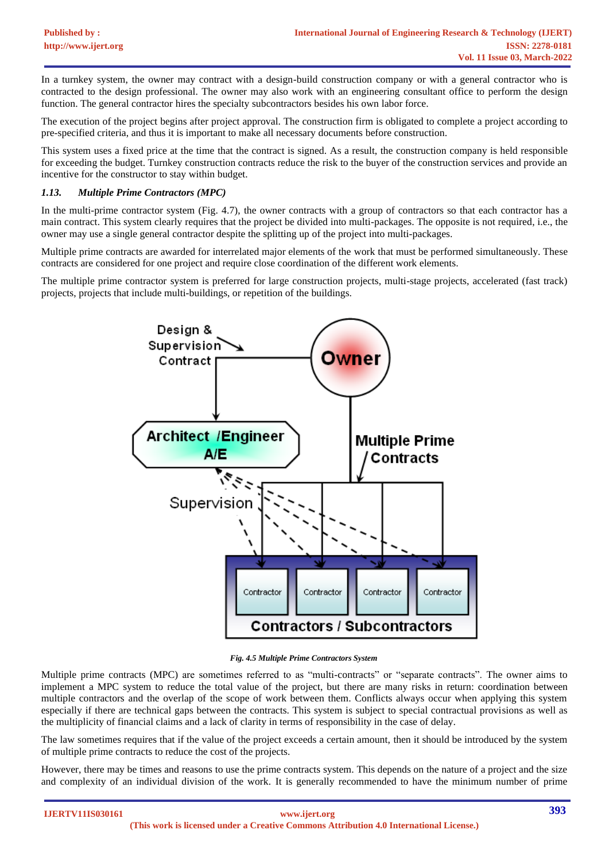In a turnkey system, the owner may contract with a design-build construction company or with a general contractor who is contracted to the design professional. The owner may also work with an engineering consultant office to perform the design function. The general contractor hires the specialty subcontractors besides his own labor force.

The execution of the project begins after project approval. The construction firm is obligated to complete a project according to pre-specified criteria, and thus it is important to make all necessary documents before construction.

This system uses a fixed price at the time that the contract is signed. As a result, the construction company is held responsible for exceeding the budget. Turnkey construction contracts reduce the risk to the buyer of the construction services and provide an incentive for the constructor to stay within budget.

# *1.13. Multiple Prime Contractors (MPC)*

In the multi-prime contractor system (Fig. 4.7), the owner contracts with a group of contractors so that each contractor has a main contract. This system clearly requires that the project be divided into multi-packages. The opposite is not required, i.e., the owner may use a single general contractor despite the splitting up of the project into multi-packages.

Multiple prime contracts are awarded for interrelated major elements of the work that must be performed simultaneously. These contracts are considered for one project and require close coordination of the different work elements.

The multiple prime contractor system is preferred for large construction projects, multi-stage projects, accelerated (fast track) projects, projects that include multi-buildings, or repetition of the buildings.



*Fig. 4.5 Multiple Prime Contractors System*

Multiple prime contracts (MPC) are sometimes referred to as "multi-contracts" or "separate contracts". The owner aims to implement a MPC system to reduce the total value of the project, but there are many risks in return: coordination between multiple contractors and the overlap of the scope of work between them. Conflicts always occur when applying this system especially if there are technical gaps between the contracts. This system is subject to special contractual provisions as well as the multiplicity of financial claims and a lack of clarity in terms of responsibility in the case of delay.

The law sometimes requires that if the value of the project exceeds a certain amount, then it should be introduced by the system of multiple prime contracts to reduce the cost of the projects.

However, there may be times and reasons to use the prime contracts system. This depends on the nature of a project and the size and complexity of an individual division of the work. It is generally recommended to have the minimum number of prime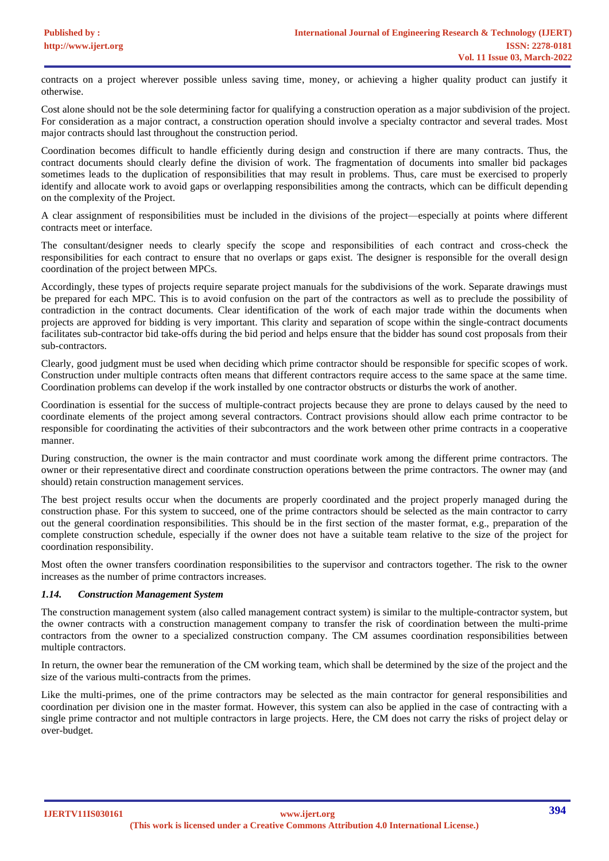contracts on a project wherever possible unless saving time, money, or achieving a higher quality product can justify it otherwise.

Cost alone should not be the sole determining factor for qualifying a construction operation as a major subdivision of the project. For consideration as a major contract, a construction operation should involve a specialty contractor and several trades. Most major contracts should last throughout the construction period.

Coordination becomes difficult to handle efficiently during design and construction if there are many contracts. Thus, the contract documents should clearly define the division of work. The fragmentation of documents into smaller bid packages sometimes leads to the duplication of responsibilities that may result in problems. Thus, care must be exercised to properly identify and allocate work to avoid gaps or overlapping responsibilities among the contracts, which can be difficult depending on the complexity of the Project.

A clear assignment of responsibilities must be included in the divisions of the project—especially at points where different contracts meet or interface.

The consultant/designer needs to clearly specify the scope and responsibilities of each contract and cross-check the responsibilities for each contract to ensure that no overlaps or gaps exist. The designer is responsible for the overall design coordination of the project between MPCs.

Accordingly, these types of projects require separate project manuals for the subdivisions of the work. Separate drawings must be prepared for each MPC. This is to avoid confusion on the part of the contractors as well as to preclude the possibility of contradiction in the contract documents. Clear identification of the work of each major trade within the documents when projects are approved for bidding is very important. This clarity and separation of scope within the single-contract documents facilitates sub-contractor bid take-offs during the bid period and helps ensure that the bidder has sound cost proposals from their sub-contractors.

Clearly, good judgment must be used when deciding which prime contractor should be responsible for specific scopes of work. Construction under multiple contracts often means that different contractors require access to the same space at the same time. Coordination problems can develop if the work installed by one contractor obstructs or disturbs the work of another.

Coordination is essential for the success of multiple-contract projects because they are prone to delays caused by the need to coordinate elements of the project among several contractors. Contract provisions should allow each prime contractor to be responsible for coordinating the activities of their subcontractors and the work between other prime contracts in a cooperative manner.

During construction, the owner is the main contractor and must coordinate work among the different prime contractors. The owner or their representative direct and coordinate construction operations between the prime contractors. The owner may (and should) retain construction management services.

The best project results occur when the documents are properly coordinated and the project properly managed during the construction phase. For this system to succeed, one of the prime contractors should be selected as the main contractor to carry out the general coordination responsibilities. This should be in the first section of the master format, e.g., preparation of the complete construction schedule, especially if the owner does not have a suitable team relative to the size of the project for coordination responsibility.

Most often the owner transfers coordination responsibilities to the supervisor and contractors together. The risk to the owner increases as the number of prime contractors increases.

# *1.14. Construction Management System*

The construction management system (also called management contract system) is similar to the multiple-contractor system, but the owner contracts with a construction management company to transfer the risk of coordination between the multi-prime contractors from the owner to a specialized construction company. The CM assumes coordination responsibilities between multiple contractors.

In return, the owner bear the remuneration of the CM working team, which shall be determined by the size of the project and the size of the various multi-contracts from the primes.

Like the multi-primes, one of the prime contractors may be selected as the main contractor for general responsibilities and coordination per division one in the master format. However, this system can also be applied in the case of contracting with a single prime contractor and not multiple contractors in large projects. Here, the CM does not carry the risks of project delay or over-budget.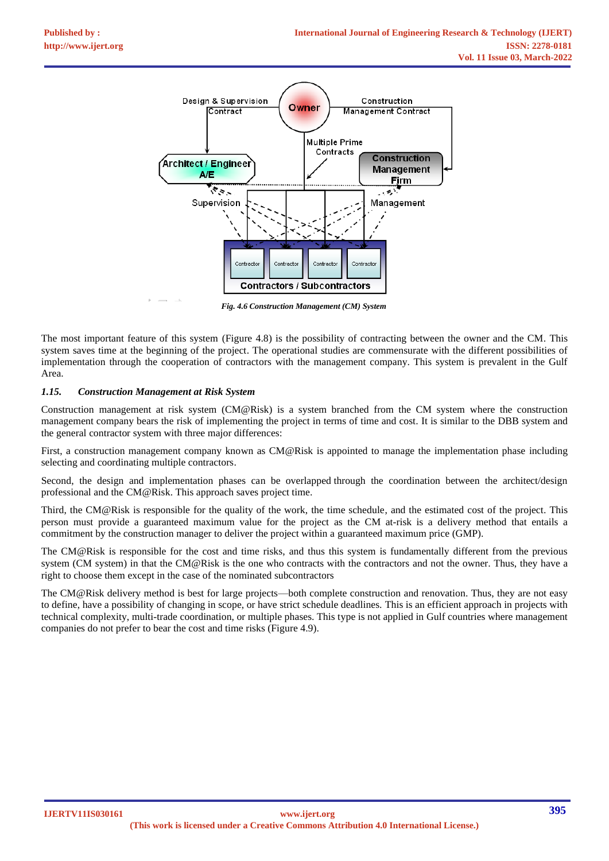

*Fig. 4.6 Construction Management (CM) System*

The most important feature of this system (Figure 4.8) is the possibility of contracting between the owner and the CM. This system saves time at the beginning of the project. The operational studies are commensurate with the different possibilities of implementation through the cooperation of contractors with the management company. This system is prevalent in the Gulf Area.

# *1.15. Construction Management at Risk System*

Construction management at risk system (CM@Risk) is a system branched from the CM system where the construction management company bears the risk of implementing the project in terms of time and cost. It is similar to the DBB system and the general contractor system with three major differences:

First, a construction management company known as CM@Risk is appointed to manage the implementation phase including selecting and coordinating multiple contractors.

Second, the design and implementation phases can be overlapped through the coordination between the architect/design professional and the CM@Risk. This approach saves project time.

Third, the CM@Risk is responsible for the quality of the work, the time schedule, and the estimated cost of the project. This person must provide a guaranteed maximum value for the project as the CM at-risk is a delivery method that entails a commitment by the construction manager to deliver the project within a guaranteed maximum price (GMP).

The CM@Risk is responsible for the cost and time risks, and thus this system is fundamentally different from the previous system (CM system) in that the CM@Risk is the one who contracts with the contractors and not the owner. Thus, they have a right to choose them except in the case of the nominated subcontractors

The CM@Risk delivery method is best for large projects—both complete construction and renovation. Thus, they are not easy to define, have a possibility of changing in scope, or have strict schedule deadlines. This is an efficient approach in projects with technical complexity, multi-trade coordination, or multiple phases. This type is not applied in Gulf countries where management companies do not prefer to bear the cost and time risks (Figure 4.9).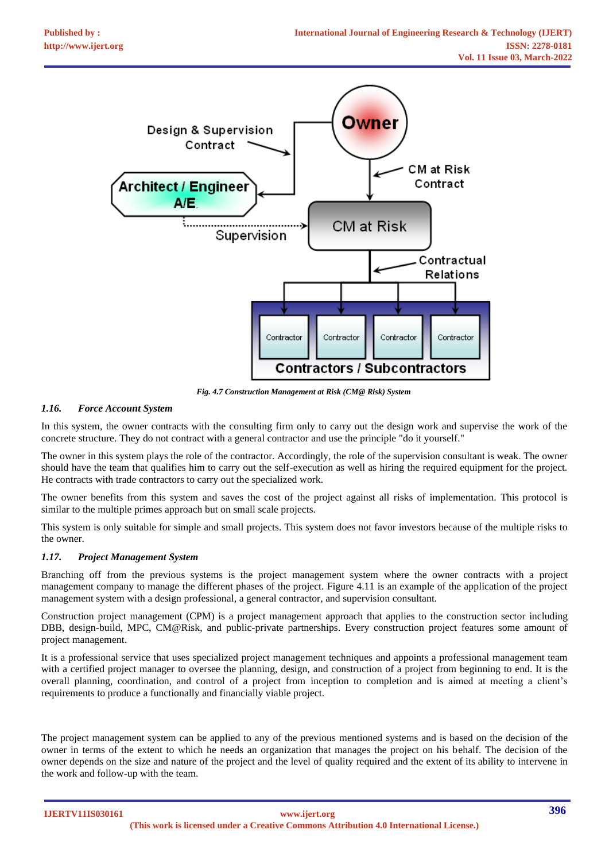

*Fig. 4.7 Construction Management at Risk (CM@ Risk) System*

# *1.16. Force Account System*

In this system, the owner contracts with the consulting firm only to carry out the design work and supervise the work of the concrete structure. They do not contract with a general contractor and use the principle "do it yourself."

The owner in this system plays the role of the contractor. Accordingly, the role of the supervision consultant is weak. The owner should have the team that qualifies him to carry out the self-execution as well as hiring the required equipment for the project. He contracts with trade contractors to carry out the specialized work.

The owner benefits from this system and saves the cost of the project against all risks of implementation. This protocol is similar to the multiple primes approach but on small scale projects.

This system is only suitable for simple and small projects. This system does not favor investors because of the multiple risks to the owner.

# *1.17. Project Management System*

Branching off from the previous systems is the project management system where the owner contracts with a project management company to manage the different phases of the project. Figure 4.11 is an example of the application of the project management system with a design professional, a general contractor, and supervision consultant.

Construction project management (CPM) is a project management approach that applies to the construction sector including DBB, design-build, MPC, CM@Risk, and public-private partnerships. Every construction project features some amount of project management.

It is a professional service that uses specialized project management techniques and appoints a professional management team with a certified project manager to oversee the planning, design, and construction of a project from beginning to end. It is the overall planning, coordination, and control of a project from inception to completion and is aimed at meeting a client's requirements to produce a functionally and financially viable project.

The project management system can be applied to any of the previous mentioned systems and is based on the decision of the owner in terms of the extent to which he needs an organization that manages the project on his behalf. The decision of the owner depends on the size and nature of the project and the level of quality required and the extent of its ability to intervene in the work and follow-up with the team.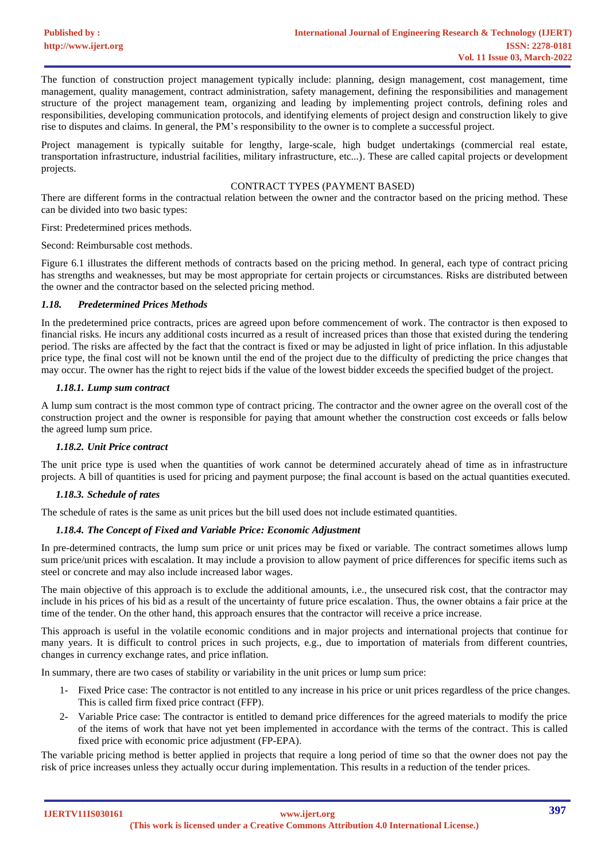The function of construction project management typically include: planning, design management, cost management, time management, quality management, contract administration, safety management, defining the responsibilities and management structure of the project management team, organizing and leading by implementing project controls, defining roles and responsibilities, developing communication protocols, and identifying elements of project design and construction likely to give rise to disputes and claims. In general, the PM's responsibility to the owner is to complete a successful project.

Project management is typically suitable for lengthy, large-scale, high budget undertakings (commercial real estate, transportation infrastructure, industrial facilities, military infrastructure, etc...). These are called capital projects or development projects.

# CONTRACT TYPES (PAYMENT BASED)

There are different forms in the contractual relation between the owner and the contractor based on the pricing method. These can be divided into two basic types:

First: Predetermined prices methods.

Second: Reimbursable cost methods.

Figure 6.1 illustrates the different methods of contracts based on the pricing method. In general, each type of contract pricing has strengths and weaknesses, but may be most appropriate for certain projects or circumstances. Risks are distributed between the owner and the contractor based on the selected pricing method.

# *1.18. Predetermined Prices Methods*

In the predetermined price contracts, prices are agreed upon before commencement of work. The contractor is then exposed to financial risks. He incurs any additional costs incurred as a result of increased prices than those that existed during the tendering period. The risks are affected by the fact that the contract is fixed or may be adjusted in light of price inflation. In this adjustable price type, the final cost will not be known until the end of the project due to the difficulty of predicting the price changes that may occur. The owner has the right to reject bids if the value of the lowest bidder exceeds the specified budget of the project.

#### *1.18.1. Lump sum contract*

A lump sum contract is the most common type of contract pricing. The contractor and the owner agree on the overall cost of the construction project and the owner is responsible for paying that amount whether the construction cost exceeds or falls below the agreed lump sum price.

# *1.18.2. Unit Price contract*

The unit price type is used when the quantities of work cannot be determined accurately ahead of time as in infrastructure projects. A bill of quantities is used for pricing and payment purpose; the final account is based on the actual quantities executed.

# *1.18.3. Schedule of rates*

The schedule of rates is the same as unit prices but the bill used does not include estimated quantities.

# *1.18.4. The Concept of Fixed and Variable Price: Economic Adjustment*

In pre-determined contracts, the lump sum price or unit prices may be fixed or variable. The contract sometimes allows lump sum price/unit prices with escalation. It may include a provision to allow payment of price differences for specific items such as steel or concrete and may also include increased labor wages.

The main objective of this approach is to exclude the additional amounts, i.e., the unsecured risk cost, that the contractor may include in his prices of his bid as a result of the uncertainty of future price escalation. Thus, the owner obtains a fair price at the time of the tender. On the other hand, this approach ensures that the contractor will receive a price increase.

This approach is useful in the volatile economic conditions and in major projects and international projects that continue for many years. It is difficult to control prices in such projects, e.g., due to importation of materials from different countries, changes in currency exchange rates, and price inflation.

In summary, there are two cases of stability or variability in the unit prices or lump sum price:

- 1- Fixed Price case: The contractor is not entitled to any increase in his price or unit prices regardless of the price changes. This is called firm fixed price contract (FFP).
- 2- Variable Price case: The contractor is entitled to demand price differences for the agreed materials to modify the price of the items of work that have not yet been implemented in accordance with the terms of the contract. This is called fixed price with economic price adjustment (FP-EPA).

The variable pricing method is better applied in projects that require a long period of time so that the owner does not pay the risk of price increases unless they actually occur during implementation. This results in a reduction of the tender prices.